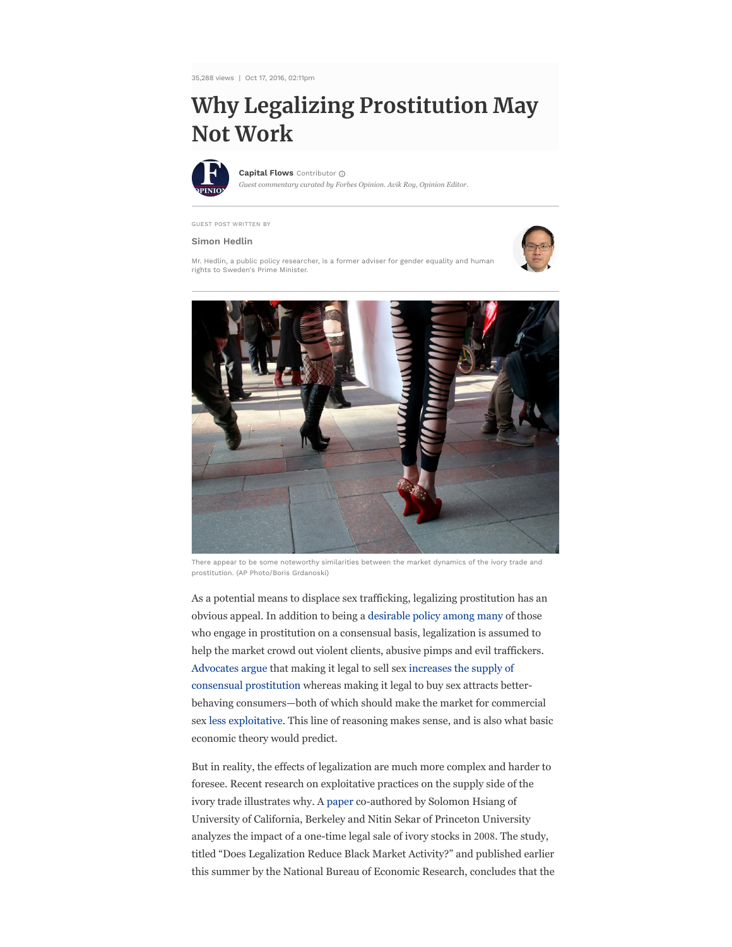35,288 views | Oct 17, 2016, 02:11pm

## **Why Legalizing Prostitution May Not Work**



*Guest commentary curated by Forbes Opinion. Avik Roy, Opinion Editor.* **[Capital Flows](https://www.forbes.com/sites/realspin/)** Contributor

GUEST POST WRITTEN BY

## **Simon Hedlin**



Mr. Hedlin, a public policy researcher, is a former adviser for gender equality and human rights to Sweden's Prime Minister.



There appear to be some noteworthy similarities between the market dynamics of the ivory trade and prostitution. (AP Photo/Boris Grdanoski)

As a potential means to displace sex trafficking, legalizing prostitution has an obvious appeal. In addition to being a [desirable policy among many](https://protect-us.mimecast.com/s/8J9GBATAbwYDIn) of those who engage in prostitution on a consensual basis, legalization is assumed to help the market crowd out violent clients, abusive pimps and evil traffickers. [Advocates argue](https://protect-us.mimecast.com/s/QQxmB0szaXYpSQ) [that making it legal to sell sex increases the supply of](https://protect-us.mimecast.com/s/xN45B6ulA65LuY) consensual prostitution whereas making it legal to buy sex attracts betterbehaving consumers—both of which should make the market for commercial sex [less exploitative.](https://protect-us.mimecast.com/s/MdRlBYsVA7OWc5) This line of reasoning makes sense, and is also what basic economic theory would predict.

But in reality, the effects of legalization are much more complex and harder to foresee. Recent research on exploitative practices on the supply side of the ivory trade illustrates why. A [paper](https://protect-us.mimecast.com/s/O5zrBeFzAZKpSw) co-authored by Solomon Hsiang of University of California, Berkeley and Nitin Sekar of Princeton University analyzes the impact of a one-time legal sale of ivory stocks in 2008. The study, titled "Does Legalization Reduce Black Market Activity?" and published earlier this summer by the National Bureau of Economic Research, concludes that the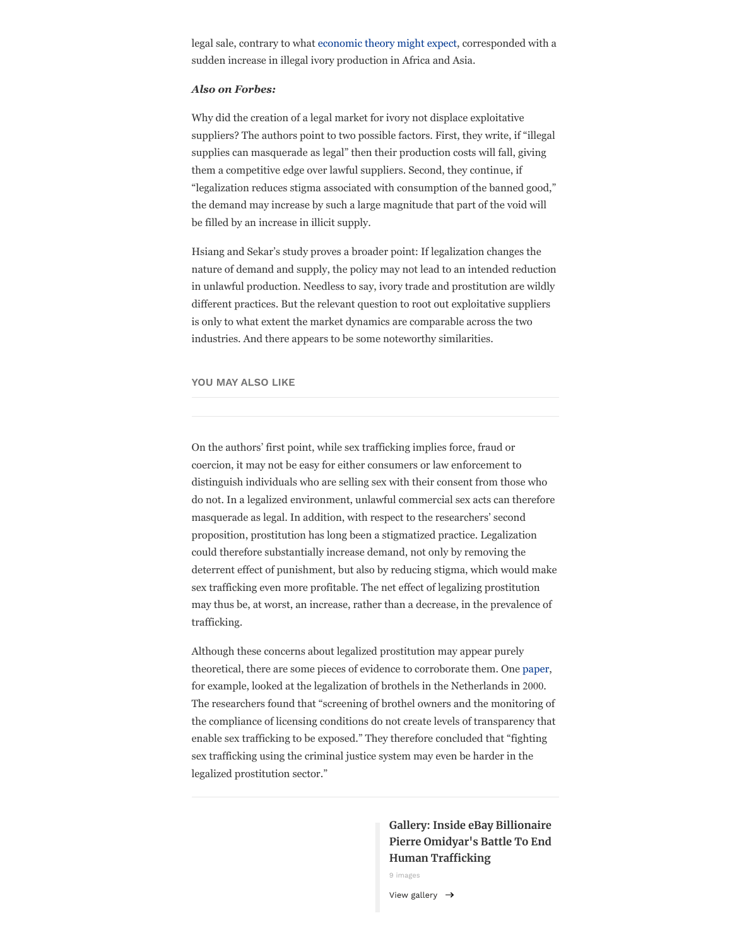legal sale, contrary to what [economic theory might expect,](https://protect-us.mimecast.com/s/9XRYB3uMJ71Aup) corresponded with a sudden increase in illegal ivory production in Africa and Asia.

## *Also on Forbes:*

Why did the creation of a legal market for ivory not displace exploitative suppliers? The authors point to two possible factors. First, they write, if "illegal supplies can masquerade as legal" then their production costs will fall, giving them a competitive edge over lawful suppliers. Second, they continue, if "legalization reduces stigma associated with consumption of the banned good," the demand may increase by such a large magnitude that part of the void will be filled by an increase in illicit supply.

Hsiang and Sekar's study proves a broader point: If legalization changes the nature of demand and supply, the policy may not lead to an intended reduction in unlawful production. Needless to say, ivory trade and prostitution are wildly different practices. But the relevant question to root out exploitative suppliers is only to what extent the market dynamics are comparable across the two industries. And there appears to be some noteworthy similarities.

## **YOU MAY ALSO LIKE**

On the authors' first point, while sex trafficking implies force, fraud or coercion, it may not be easy for either consumers or law enforcement to distinguish individuals who are selling sex with their consent from those who do not. In a legalized environment, unlawful commercial sex acts can therefore masquerade as legal. In addition, with respect to the researchers' second proposition, prostitution has long been a stigmatized practice. Legalization could therefore substantially increase demand, not only by removing the deterrent effect of punishment, but also by reducing stigma, which would make sex trafficking even more profitable. The net effect of legalizing prostitution may thus be, at worst, an increase, rather than a decrease, in the prevalence of trafficking.

Although these concerns about legalized prostitution may appear purely theoretical, there are some pieces of evidence to corroborate them. One [paper](https://protect-us.mimecast.com/s/lN6rBkuX0JGwCa), for example, looked at the legalization of brothels in the Netherlands in 2000. The researchers found that "screening of brothel owners and the monitoring of the compliance of licensing conditions do not create levels of transparency that enable sex trafficking to be exposed." They therefore concluded that "fighting sex trafficking using the criminal justice system may even be harder in the legalized prostitution sector."

> **Gallery: Inside eBay Billionaire [Pierre Omidyar's Battle To End](https://www.forbes.com/pictures/54f4e711da47a54de82452cd/inside-ebay-billionaire-p/) Human Trafficking**

9 images

View gallery  $\rightarrow$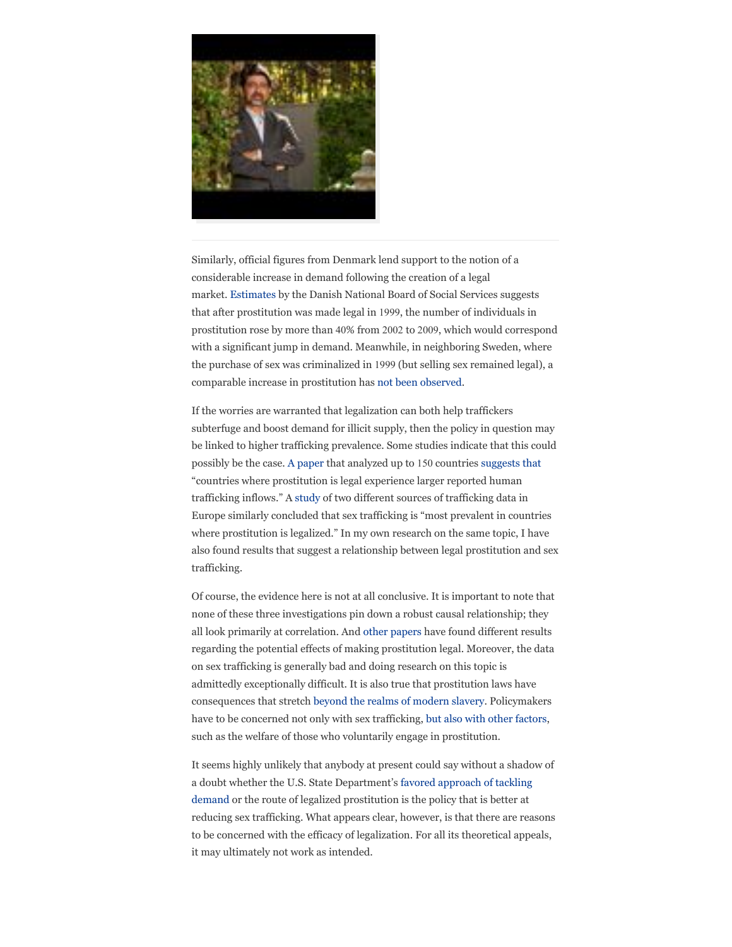

Similarly, official figures from Denmark lend support to the notion of a considerable increase in demand following the creation of a legal market. [Estimates](https://protect-us.mimecast.com/s/zNDoBbuLvzwNf1) by the Danish National Board of Social Services suggests that after prostitution was made legal in 1999, the number of individuals in prostitution rose by more than 40% from 2002 to 2009, which would correspond with a significant jump in demand. Meanwhile, in neighboring Sweden, where the purchase of sex was criminalized in 1999 (but selling sex remained legal), a comparable increase in prostitution has [not been observed.](https://protect-us.mimecast.com/s/rx5GBehD2XrQh8)

If the worries are warranted that legalization can both help traffickers subterfuge and boost demand for illicit supply, then the policy in question may be linked to higher trafficking prevalence. Some studies indicate that this could possibly be the case. [A paper](https://protect-us.mimecast.com/s/Zpw0Boh0ZxlDf5) that analyzed up to 150 countries [suggests that](https://protect-us.mimecast.com/s/mm6ZBpt1bgJzI8) "countries where prostitution is legal experience larger reported human trafficking inflows." A [study](https://protect-us.mimecast.com/s/kJ6zBmTrda0pIR) of two different sources of trafficking data in Europe similarly concluded that sex trafficking is "most prevalent in countries where prostitution is legalized." In my own research on the same topic, I have also found results that suggest a relationship between legal prostitution and sex trafficking.

Of course, the evidence here is not at all conclusive. It is important to note that none of these three investigations pin down a robust causal relationship; they all look primarily at correlation. And [other](https://protect-us.mimecast.com/s/pV6pBYUboA5Gtr) [papers](https://protect-us.mimecast.com/s/LLE9BVT7mkEWfl) have found different results regarding the potential effects of making prostitution legal. Moreover, the data on sex trafficking is generally bad and doing research on this topic is admittedly exceptionally difficult. It is also true that prostitution laws have consequences that stretch [beyond the realms of modern slavery.](https://protect-us.mimecast.com/s/GWd8BZTZOQ5AfN) Policymakers have to be concerned not only with sex trafficking, [but also with other factors](https://protect-us.mimecast.com/s/Y1XWBghnL8vQUQ), such as the welfare of those who voluntarily engage in prostitution.

It seems highly unlikely that anybody at present could say without a shadow of [a doubt whether the U.S. State Department's favored approach of tackling](https://protect-us.mimecast.com/s/K2xOBLU37vRATV) demand or the route of legalized prostitution is the policy that is better at reducing sex trafficking. What appears clear, however, is that there are reasons to be concerned with the efficacy of legalization. For all its theoretical appeals, it may ultimately not work as intended.